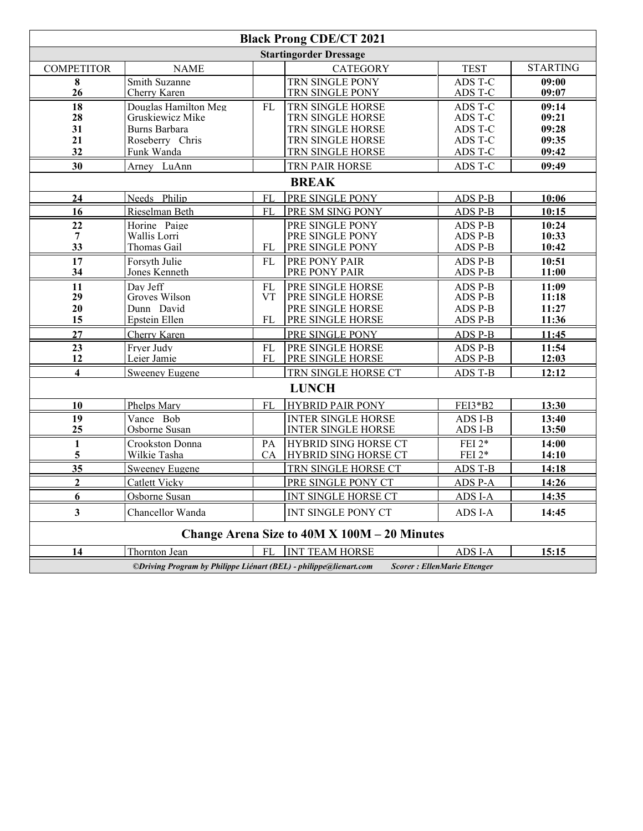| <b>Black Prong CDE/CT 2021</b>                                                                          |                                                                                            |                              |                                                                                                  |                                                     |                                           |  |  |  |  |  |  |  |
|---------------------------------------------------------------------------------------------------------|--------------------------------------------------------------------------------------------|------------------------------|--------------------------------------------------------------------------------------------------|-----------------------------------------------------|-------------------------------------------|--|--|--|--|--|--|--|
| <b>Startingorder Dressage</b>                                                                           |                                                                                            |                              |                                                                                                  |                                                     |                                           |  |  |  |  |  |  |  |
| <b>COMPETITOR</b>                                                                                       | <b>NAME</b>                                                                                |                              | <b>CATEGORY</b>                                                                                  | <b>TEST</b>                                         | <b>STARTING</b>                           |  |  |  |  |  |  |  |
| 8<br>26                                                                                                 | Smith Suzanne<br>Cherry Karen                                                              |                              | TRN SINGLE PONY<br>TRN SINGLE PONY                                                               | ADS T-C<br>ADS T-C                                  | 09:00<br>09:07                            |  |  |  |  |  |  |  |
| 18<br>28<br>31<br>21<br>32                                                                              | Douglas Hamilton Meg<br>Gruskiewicz Mike<br>Burns Barbara<br>Roseberry Chris<br>Funk Wanda | FL                           | TRN SINGLE HORSE<br>TRN SINGLE HORSE<br>TRN SINGLE HORSE<br>TRN SINGLE HORSE<br>TRN SINGLE HORSE | ADS T-C<br>ADS T-C<br>ADS T-C<br>ADS T-C<br>ADS T-C | 09:14<br>09:21<br>09:28<br>09:35<br>09:42 |  |  |  |  |  |  |  |
| 30                                                                                                      | Arney LuAnn                                                                                |                              | TRN PAIR HORSE                                                                                   | ADS T-C                                             | 09:49                                     |  |  |  |  |  |  |  |
| <b>BREAK</b>                                                                                            |                                                                                            |                              |                                                                                                  |                                                     |                                           |  |  |  |  |  |  |  |
| 24                                                                                                      | Needs Philip                                                                               | <b>FL</b>                    | PRE SINGLE PONY                                                                                  | ADS P-B                                             | 10:06                                     |  |  |  |  |  |  |  |
| 16                                                                                                      | Rieselman Beth                                                                             | <b>FL</b>                    | PRE SM SING PONY                                                                                 | ADS P-B                                             | 10:15                                     |  |  |  |  |  |  |  |
| 22<br>$\overline{7}$<br>33                                                                              | Horine Paige<br>Wallis Lorri<br>Thomas Gail                                                | FL                           | PRE SINGLE PONY<br>PRE SINGLE PONY<br>PRE SINGLE PONY                                            | ADS P-B<br>ADS P-B<br>ADS P-B                       | 10:24<br>10:33<br>10:42                   |  |  |  |  |  |  |  |
| 17<br>34                                                                                                | Forsyth Julie<br>Jones Kenneth                                                             | FI.                          | PRE PONY PAIR<br>PRE PONY PAIR                                                                   | ADS P-B<br>ADS P-B                                  | 10:51<br>11:00                            |  |  |  |  |  |  |  |
| 11<br>29<br>20<br>15                                                                                    | Day Jeff<br>Groves Wilson<br>Dunn David<br>Epstein Ellen                                   | <b>FL</b><br><b>VT</b><br>FL | PRE SINGLE HORSE<br>PRE SINGLE HORSE<br>PRE SINGLE HORSE<br>PRE SINGLE HORSE                     | ADS P-B<br>ADS P-B<br>ADS P-B<br>ADS P-B            | 11:09<br>11:18<br>11:27<br>11:36          |  |  |  |  |  |  |  |
| 27                                                                                                      | Cherry Karen                                                                               |                              | PRE SINGLE PONY                                                                                  | ADS P-B                                             | 11:45                                     |  |  |  |  |  |  |  |
| 23<br>12                                                                                                | Fryer Judy<br>Leier Jamie                                                                  | FL<br>FL                     | <b>PRE SINGLE HORSE</b><br><b>PRE SINGLE HORSE</b>                                               | ADS P-B<br>ADS P-B                                  | 11:54<br>12:03                            |  |  |  |  |  |  |  |
| $\overline{\mathbf{4}}$                                                                                 | <b>Sweeney Eugene</b>                                                                      |                              | TRN SINGLE HORSE CT                                                                              | <b>ADS T-B</b>                                      | 12:12                                     |  |  |  |  |  |  |  |
| <b>LUNCH</b>                                                                                            |                                                                                            |                              |                                                                                                  |                                                     |                                           |  |  |  |  |  |  |  |
| 10                                                                                                      | Phelps Mary                                                                                | <b>FL</b>                    | <b>HYBRID PAIR PONY</b>                                                                          | FEI3*B2                                             | 13:30                                     |  |  |  |  |  |  |  |
| 19<br>25                                                                                                | Vance Bob<br>Osborne Susan                                                                 |                              | <b>INTER SINGLE HORSE</b><br><b>INTER SINGLE HORSE</b>                                           | ADS I-B<br>ADS I-B                                  | 13:40<br>13:50                            |  |  |  |  |  |  |  |
| $\mathbf{1}$<br>5                                                                                       | Crookston Donna<br>Wilkie Tasha                                                            | PA<br><b>CA</b>              | <b>HYBRID SING HORSE CT</b><br>HYBRID SING HORSE CT                                              | FEI $2*$<br>FEI 2*                                  | 14:00<br>14:10                            |  |  |  |  |  |  |  |
| 35                                                                                                      | Sweeney Eugene                                                                             |                              | TRN SINGLE HORSE CT                                                                              | ADS T-B                                             | 14:18                                     |  |  |  |  |  |  |  |
| $\overline{2}$                                                                                          | Catlett Vicky                                                                              |                              | PRE SINGLE PONY CT                                                                               | ADS P-A                                             | 14:26                                     |  |  |  |  |  |  |  |
| 6                                                                                                       | Osborne Susan                                                                              |                              | INT SINGLE HORSE CT                                                                              | ADS I-A                                             | 14:35                                     |  |  |  |  |  |  |  |
| $\overline{\mathbf{3}}$                                                                                 | Chancellor Wanda                                                                           |                              | INT SINGLE PONY CT                                                                               | ADS I-A                                             | 14:45                                     |  |  |  |  |  |  |  |
|                                                                                                         | Change Arena Size to 40M X 100M - 20 Minutes                                               |                              |                                                                                                  |                                                     |                                           |  |  |  |  |  |  |  |
| 14                                                                                                      | Thornton Jean                                                                              | <b>FL</b>                    | <b>INT TEAM HORSE</b>                                                                            | ADS I-A                                             | 15:15                                     |  |  |  |  |  |  |  |
| ©Driving Program by Philippe Liénart (BEL) - philippe@lienart.com<br><b>Scorer: EllenMarie Ettenger</b> |                                                                                            |                              |                                                                                                  |                                                     |                                           |  |  |  |  |  |  |  |